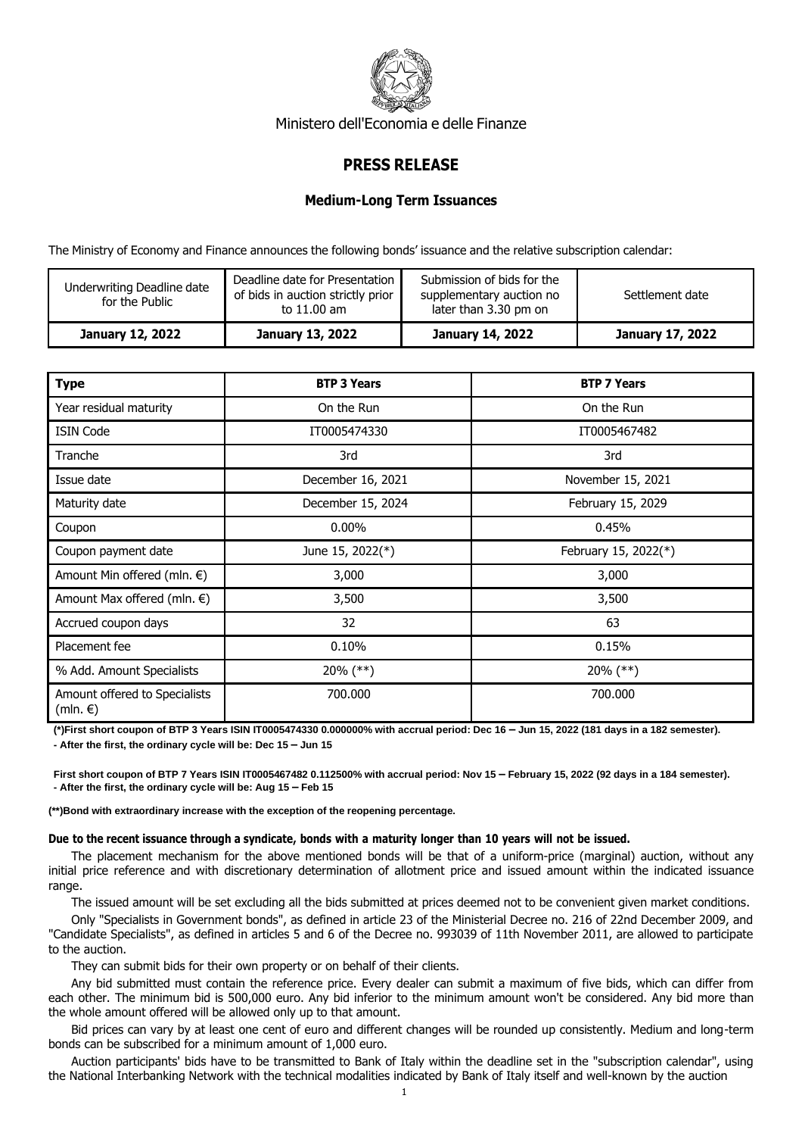

Ministero dell'Economia e delle Finanze

## **PRESS RELEASE**

## **Medium-Long Term Issuances**

The Ministry of Economy and Finance announces the following bonds' issuance and the relative subscription calendar:

| Underwriting Deadline date<br>for the Public | Deadline date for Presentation<br>of bids in auction strictly prior<br>to 11.00 am | Submission of bids for the<br>supplementary auction no<br>later than 3.30 pm on | Settlement date  |
|----------------------------------------------|------------------------------------------------------------------------------------|---------------------------------------------------------------------------------|------------------|
| <b>January 12, 2022</b>                      | January 13, 2022                                                                   | January 14, 2022                                                                | January 17, 2022 |

| <b>Type</b>                                        | <b>BTP 3 Years</b> | <b>BTP 7 Years</b>   |
|----------------------------------------------------|--------------------|----------------------|
| Year residual maturity                             | On the Run         | On the Run           |
| <b>ISIN Code</b>                                   | IT0005474330       | IT0005467482         |
| Tranche                                            | 3rd                | 3rd                  |
| Issue date                                         | December 16, 2021  | November 15, 2021    |
| Maturity date                                      | December 15, 2024  | February 15, 2029    |
| Coupon                                             | $0.00\%$           | 0.45%                |
| Coupon payment date                                | June 15, 2022(*)   | February 15, 2022(*) |
| Amount Min offered (mln. $\epsilon$ )              | 3,000              | 3,000                |
| Amount Max offered (mln. $\epsilon$ )              | 3,500              | 3,500                |
| Accrued coupon days                                | 32                 | 63                   |
| Placement fee                                      | 0.10%              | 0.15%                |
| % Add. Amount Specialists                          | $20\%$ (**)        | $20\%$ (**)          |
| Amount offered to Specialists<br>$(mln. \epsilon)$ | 700.000            | 700,000              |

**(\*)First short coupon of BTP 3 Years ISIN IT0005474330 0.000000% with accrual period: Dec 16 – Jun 15, 2022 (181 days in a 182 semester).**

**- After the first, the ordinary cycle will be: Dec 15 – Jun 15**

First short coupon of BTP 7 Years ISIN IT0005467482 0.112500% with accrual period: Nov 15 - February 15, 2022 (92 days in a 184 semester). **- After the first, the ordinary cycle will be: Aug 15 – Feb 15**

**(\*\*)Bond with extraordinary increase with the exception of the reopening percentage.**

## **Due to the recent issuance through a syndicate, bonds with a maturity longer than 10 years will not be issued.**

The placement mechanism for the above mentioned bonds will be that of a uniform-price (marginal) auction, without any initial price reference and with discretionary determination of allotment price and issued amount within the indicated issuance range.

The issued amount will be set excluding all the bids submitted at prices deemed not to be convenient given market conditions.

Only "Specialists in Government bonds", as defined in article 23 of the Ministerial Decree no. 216 of 22nd December 2009, and "Candidate Specialists", as defined in articles 5 and 6 of the Decree no. 993039 of 11th November 2011, are allowed to participate to the auction.

They can submit bids for their own property or on behalf of their clients.

Any bid submitted must contain the reference price. Every dealer can submit a maximum of five bids, which can differ from each other. The minimum bid is 500,000 euro. Any bid inferior to the minimum amount won't be considered. Any bid more than the whole amount offered will be allowed only up to that amount.

Bid prices can vary by at least one cent of euro and different changes will be rounded up consistently. Medium and long-term bonds can be subscribed for a minimum amount of 1,000 euro.

Auction participants' bids have to be transmitted to Bank of Italy within the deadline set in the "subscription calendar", using the National Interbanking Network with the technical modalities indicated by Bank of Italy itself and well-known by the auction